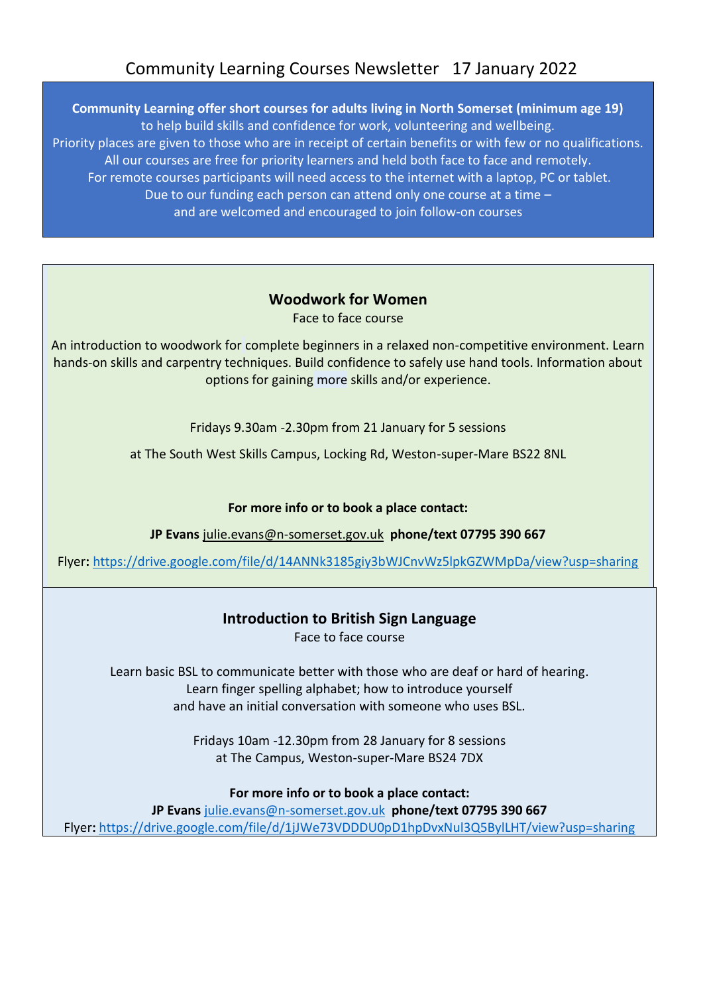## Community Learning Courses Newsletter 17 January 2022

**Community Learning offer short courses for adults living in North Somerset (minimum age 19)**  to help build skills and confidence for work, volunteering and wellbeing. Priority places are given to those who are in receipt of certain benefits or with few or no qualifications. All our courses are free for priority learners and held both face to face and remotely. For remote courses participants will need access to the internet with a laptop, PC or tablet. Due to our funding each person can attend only one course at a time – and are welcomed and encouraged to join follow-on courses

# **Woodwork for Women**

Face to face course

An introduction to woodwork for complete beginners in a relaxed non-competitive environment. Learn hands-on skills and carpentry techniques. Build confidence to safely use hand tools. Information about options for gaining more skills and/or experience.

Fridays 9.30am -2.30pm from 21 January for 5 sessions

at The South West Skills Campus, Locking Rd, Weston-super-Mare BS22 8NL

#### **For more info or to book a place contact:**

**JP Evans** [julie.evans@n-somerset.gov.uk](mailto:julie.evans@n-somerset.gov.uk) **phone/text 07795 390 667**

Flyer**:** <https://drive.google.com/file/d/14ANNk3185giy3bWJCnvWz5lpkGZWMpDa/view?usp=sharing>

## **Introduction to British Sign Language**

Face to face course

Learn basic BSL to communicate better with those who are deaf or hard of hearing. Learn finger spelling alphabet; how to introduce yourself and have an initial conversation with someone who uses BSL.

> Fridays 10am -12.30pm from 28 January for 8 sessions at The Campus, Weston-super-Mare BS24 7DX

#### **For more info or to book a place contact:**

**JP Evans** [julie.evans@n-somerset.gov.uk](mailto:julie.evans@n-somerset.gov.uk) **phone/text 07795 390 667** Flyer**:** <https://drive.google.com/file/d/1jJWe73VDDDU0pD1hpDvxNul3Q5BylLHT/view?usp=sharing>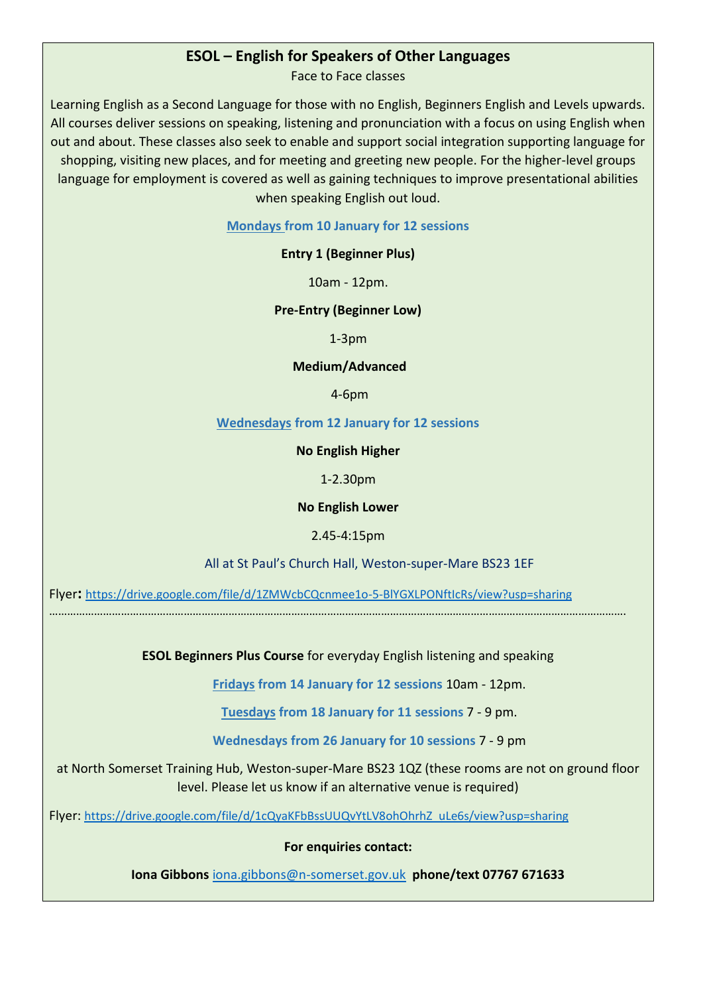#### **ESOL – English for Speakers of Other Languages**

Face to Face classes

Learning English as a Second Language for those with no English, Beginners English and Levels upwards. All courses deliver sessions on speaking, listening and pronunciation with a focus on using English when out and about. These classes also seek to enable and support social integration supporting language for shopping, visiting new places, and for meeting and greeting new people. For the higher-level groups language for employment is covered as well as gaining techniques to improve presentational abilities when speaking English out loud.

**Mondays from 10 January for 12 sessions**

#### **Entry 1 (Beginner Plus)**

10am - 12pm.

#### **Pre-Entry (Beginner Low)**

1-3pm

#### **Medium/Advanced**

4-6pm

#### **Wednesdays from 12 January for 12 sessions**

#### **No English Higher**

1-2.30pm

#### **No English Lower**

#### 2.45-4:15pm

All at St Paul's Church Hall, Weston-super-Mare BS23 1EF

Flyer**:** <https://drive.google.com/file/d/1ZMWcbCQcnmee1o-5-BlYGXLPONftIcRs/view?usp=sharing>

………………………………………………………………………………………………………………………………………………………………………….

**ESOL Beginners Plus Course** for everyday English listening and speaking

**Fridays from 14 January for 12 sessions** 10am - 12pm.

**Tuesdays from 18 January for 11 sessions** 7 - 9 pm.

**Wednesdays from 26 January for 10 sessions** 7 - 9 pm

at North Somerset Training Hub, Weston-super-Mare BS23 1QZ (these rooms are not on ground floor level. Please let us know if an alternative venue is required)

Flyer: [https://drive.google.com/file/d/1cQyaKFbBssUUQvYtLV8ohOhrhZ\\_uLe6s/view?usp=sharing](https://drive.google.com/file/d/1cQyaKFbBssUUQvYtLV8ohOhrhZ_uLe6s/view?usp=sharing)

**For enquiries contact:**

**Iona Gibbons** [iona.gibbons@n-somerset.gov.uk](mailto:iona.gibbons@n-somerset.gov.uk) **phone/text 07767 671633**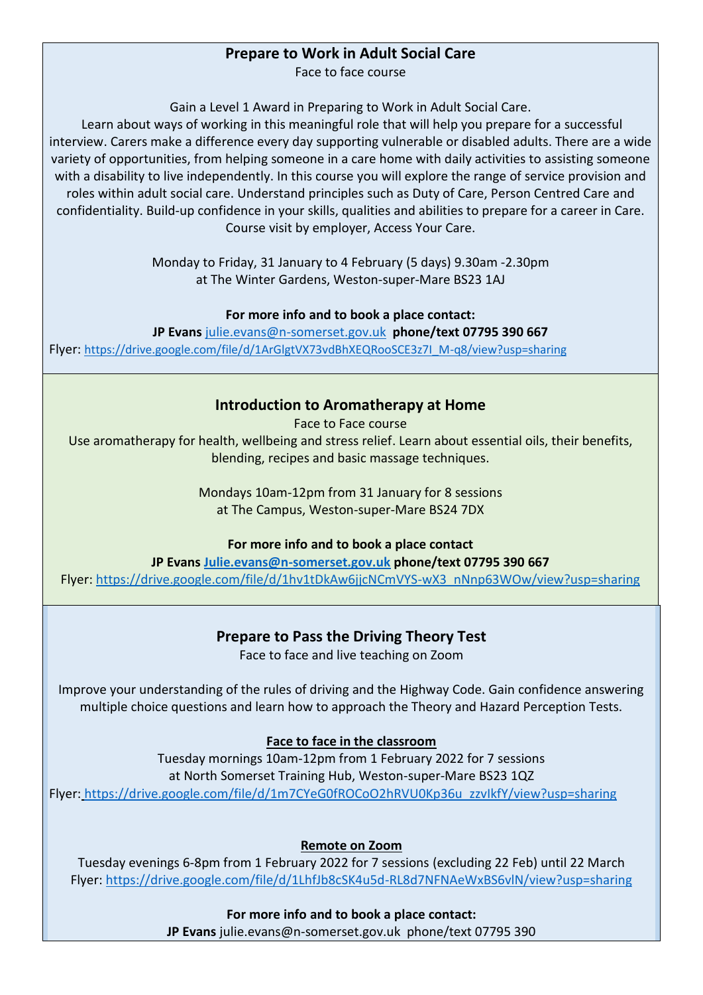## **Prepare to Work in Adult Social Care**

Face to face course

Gain a Level 1 Award in Preparing to Work in Adult Social Care.

Learn about ways of working in this meaningful role that will help you prepare for a successful interview. Carers make a difference every day supporting vulnerable or disabled adults. There are a wide variety of opportunities, from helping someone in a care home with daily activities to assisting someone with a disability to live independently. In this course you will explore the range of service provision and roles within adult social care. Understand principles such as Duty of Care, Person Centred Care and confidentiality. Build-up confidence in your skills, qualities and abilities to prepare for a career in Care. Course visit by employer, Access Your Care.

> Monday to Friday, 31 January to 4 February (5 days) 9.30am -2.30pm at The Winter Gardens, Weston-super-Mare BS23 1AJ

#### **For more info and to book a place contact:**

**JP Evans** [julie.evans@n-somerset.gov.uk](mailto:julie.evans@n-somerset.gov.uk) **phone/text 07795 390 667** Flyer: [https://drive.google.com/file/d/1ArGlgtVX73vdBhXEQRooSCE3z7I\\_M-q8/view?usp=sharing](https://drive.google.com/file/d/1ArGlgtVX73vdBhXEQRooSCE3z7I_M-q8/view?usp=sharing)

## **Introduction to Aromatherapy at Home**

Face to Face course

Use aromatherapy for health, wellbeing and stress relief. Learn about essential oils, their benefits, blending, recipes and basic massage techniques.

> Mondays 10am-12pm from 31 January for 8 sessions at The Campus, Weston-super-Mare BS24 7DX

**For more info and to book a place contact**

**JP Evans [Julie.evans@n-somerset.gov.uk](mailto:Julie.evans@n-somerset.gov.uk) phone/text 07795 390 667** Flyer: [https://drive.google.com/file/d/1hv1tDkAw6jjcNCmVYS-wX3\\_nNnp63WOw/view?usp=sharing](https://drive.google.com/file/d/1hv1tDkAw6jjcNCmVYS-wX3_nNnp63WOw/view?usp=sharing)

## **Prepare to Pass the Driving Theory Test**

Face to face and live teaching on Zoom

Improve your understanding of the rules of driving and the Highway Code. Gain confidence answering multiple choice questions and learn how to approach the Theory and Hazard Perception Tests.

## **Face to face in the classroom**

Tuesday mornings 10am-12pm from 1 February 2022 for 7 sessions at North Somerset Training Hub, Weston-super-Mare BS23 1QZ Flyer: [https://drive.google.com/file/d/1m7CYeG0fROCoO2hRVU0Kp36u\\_zzvIkfY/view?usp=sharing](https://drive.google.com/file/d/1m7CYeG0fROCoO2hRVU0Kp36u_zzvIkfY/view?usp=sharing)

**Remote on Zoom**

Tuesday evenings 6-8pm from 1 February 2022 for 7 sessions (excluding 22 Feb) until 22 March Flyer:<https://drive.google.com/file/d/1LhfJb8cSK4u5d-RL8d7NFNAeWxBS6vlN/view?usp=sharing>

> **For more info and to book a place contact: JP Evans** julie.evans@n-somerset.gov.uk phone/text 07795 390